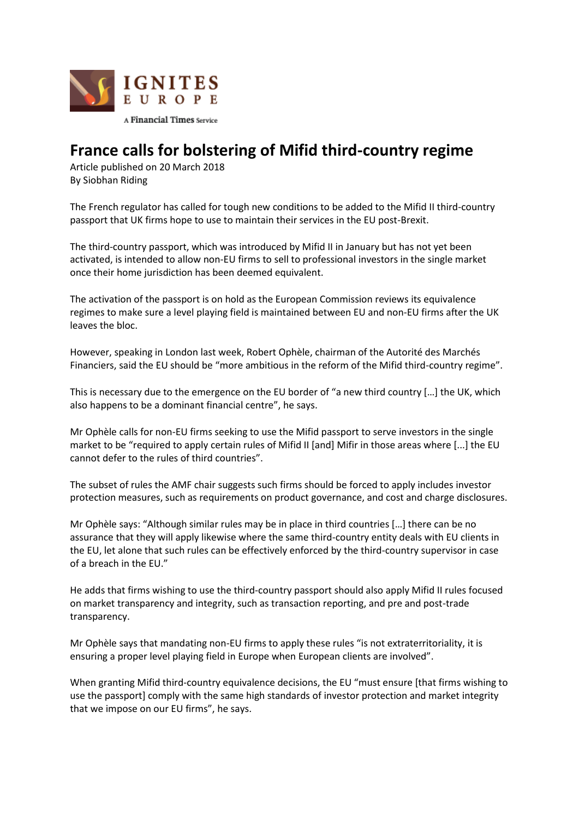

## **France calls for bolstering of Mifid third-country regime**

Article published on 20 March 2018 By Siobhan Riding

The French regulator has called for tough new conditions to be added to the Mifid II third-country passport that UK firms hope to use to maintain their services in the EU post-Brexit.

The third-country passport, which was introduced by Mifid II in January but has not yet been activated, is intended to allow non-EU firms to sell to professional investors in the single market once their home jurisdiction has been deemed equivalent.

The activation of the passport is on hold as the European Commission reviews its equivalence regimes to make sure a level playing field is maintained between EU and non-EU firms after the UK leaves the bloc.

However, speaking in London last week, Robert Ophèle, chairman of the Autorité des Marchés Financiers, said the EU should be "more ambitious in the reform of the Mifid third-country regime".

This is necessary due to the emergence on the EU border of "a new third country […] the UK, which also happens to be a dominant financial centre", he says.

Mr Ophèle calls for non-EU firms seeking to use the Mifid passport to serve investors in the single market to be "required to apply certain rules of Mifid II [and] Mifir in those areas where [...] the EU cannot defer to the rules of third countries".

The subset of rules the AMF chair suggests such firms should be forced to apply includes investor protection measures, such as requirements on product governance, and cost and charge disclosures.

Mr Ophèle says: "Although similar rules may be in place in third countries […] there can be no assurance that they will apply likewise where the same third-country entity deals with EU clients in the EU, let alone that such rules can be effectively enforced by the third-country supervisor in case of a breach in the EU."

He adds that firms wishing to use the third-country passport should also apply Mifid II rules focused on market transparency and integrity, such as transaction reporting, and pre and post-trade transparency.

Mr Ophèle says that mandating non-EU firms to apply these rules "is not extraterritoriality, it is ensuring a proper level playing field in Europe when European clients are involved".

When granting Mifid third-country equivalence decisions, the EU "must ensure [that firms wishing to use the passport] comply with the same high standards of investor protection and market integrity that we impose on our EU firms", he says.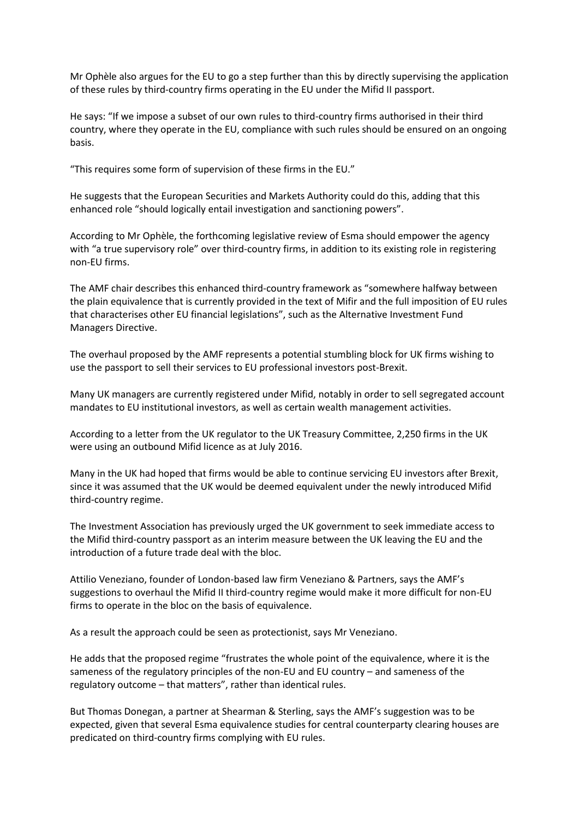Mr Ophèle also argues for the EU to go a step further than this by directly supervising the application of these rules by third-country firms operating in the EU under the Mifid II passport.

He says: "If we impose a subset of our own rules to third-country firms authorised in their third country, where they operate in the EU, compliance with such rules should be ensured on an ongoing basis.

"This requires some form of supervision of these firms in the EU."

He suggests that the European Securities and Markets Authority could do this, adding that this enhanced role "should logically entail investigation and sanctioning powers".

According to Mr Ophèle, the forthcoming legislative review of Esma should empower the agency with "a true supervisory role" over third-country firms, in addition to its existing role in registering non-EU firms.

The AMF chair describes this enhanced third-country framework as "somewhere halfway between the plain equivalence that is currently provided in the text of Mifir and the full imposition of EU rules that characterises other EU financial legislations", such as the Alternative Investment Fund Managers Directive.

The overhaul proposed by the AMF represents a potential stumbling block for UK firms wishing to use the passport to sell their services to EU professional investors post-Brexit.

Many UK managers are currently registered under Mifid, notably in order to sell segregated account mandates to EU institutional investors, as well as certain wealth management activities.

According to a letter from the UK regulator to the UK Treasury Committee, 2,250 firms in the UK were using an outbound Mifid licence as at July 2016.

Many in the UK had hoped that firms would be able to continue servicing EU investors after Brexit, since it was assumed that the UK would be deemed equivalent under the newly introduced Mifid third-country regime.

The Investment Association has previously urged the UK government to seek immediate access to the Mifid third-country passport as an interim measure between the UK leaving the EU and the introduction of a future trade deal with the bloc.

Attilio Veneziano, founder of London-based law firm Veneziano & Partners, says the AMF's suggestions to overhaul the Mifid II third-country regime would make it more difficult for non-EU firms to operate in the bloc on the basis of equivalence.

As a result the approach could be seen as protectionist, says Mr Veneziano.

He adds that the proposed regime "frustrates the whole point of the equivalence, where it is the sameness of the regulatory principles of the non-EU and EU country – and sameness of the regulatory outcome – that matters", rather than identical rules.

But Thomas Donegan, a partner at Shearman & Sterling, says the AMF's suggestion was to be expected, given that several Esma equivalence studies for central counterparty clearing houses are predicated on third-country firms complying with EU rules.